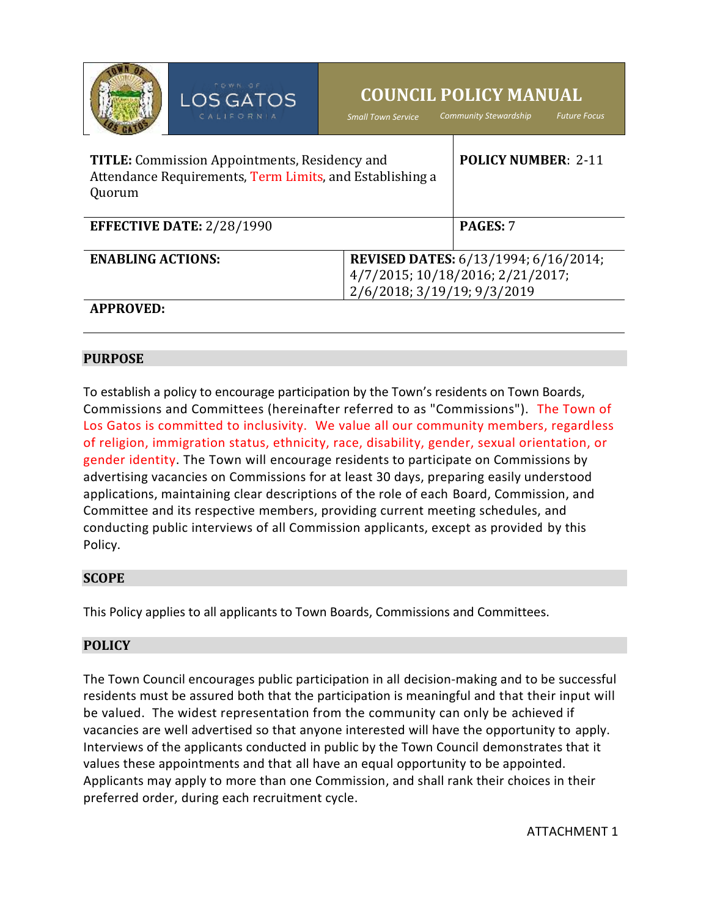|                                                                                                                            | TOWN OF<br>LOS GATOS<br>CALIFORNIA | <b>COUNCIL POLICY MANUAL</b><br><b>Community Stewardship</b><br><b>Future Focus</b><br><b>Small Town Service</b> |  |
|----------------------------------------------------------------------------------------------------------------------------|------------------------------------|------------------------------------------------------------------------------------------------------------------|--|
| <b>TITLE:</b> Commission Appointments, Residency and<br>Attendance Requirements, Term Limits, and Establishing a<br>Quorum |                                    | <b>POLICY NUMBER: 2-11</b>                                                                                       |  |
| <b>EFFECTIVE DATE: 2/28/1990</b>                                                                                           |                                    | PAGES: 7                                                                                                         |  |
| <b>ENABLING ACTIONS:</b>                                                                                                   |                                    | <b>REVISED DATES:</b> 6/13/1994; 6/16/2014;                                                                      |  |
|                                                                                                                            |                                    | 4/7/2015; 10/18/2016; 2/21/2017;                                                                                 |  |
| 2/6/2018; 3/19/19; 9/3/2019                                                                                                |                                    |                                                                                                                  |  |
| <b>APPROVED:</b>                                                                                                           |                                    |                                                                                                                  |  |

### **PURPOSE**

To establish a policy to encourage participation by the Town's residents on Town Boards, Commissions and Committees (hereinafter referred to as "Commissions"). The Town of Los Gatos is committed to inclusivity. We value all our community members, regardless of religion, immigration status, ethnicity, race, disability, gender, sexual orientation, or gender identity. The Town will encourage residents to participate on Commissions by advertising vacancies on Commissions for at least 30 days, preparing easily understood applications, maintaining clear descriptions of the role of each Board, Commission, and Committee and its respective members, providing current meeting schedules, and conducting public interviews of all Commission applicants, except as provided by this Policy.

### **SCOPE**

This Policy applies to all applicants to Town Boards, Commissions and Committees.

# **POLICY**

The Town Council encourages public participation in all decision-making and to be successful residents must be assured both that the participation is meaningful and that their input will be valued. The widest representation from the community can only be achieved if vacancies are well advertised so that anyone interested will have the opportunity to apply. Interviews of the applicants conducted in public by the Town Council demonstrates that it values these appointments and that all have an equal opportunity to be appointed. Applicants may apply to more than one Commission, and shall rank their choices in their preferred order, during each recruitment cycle.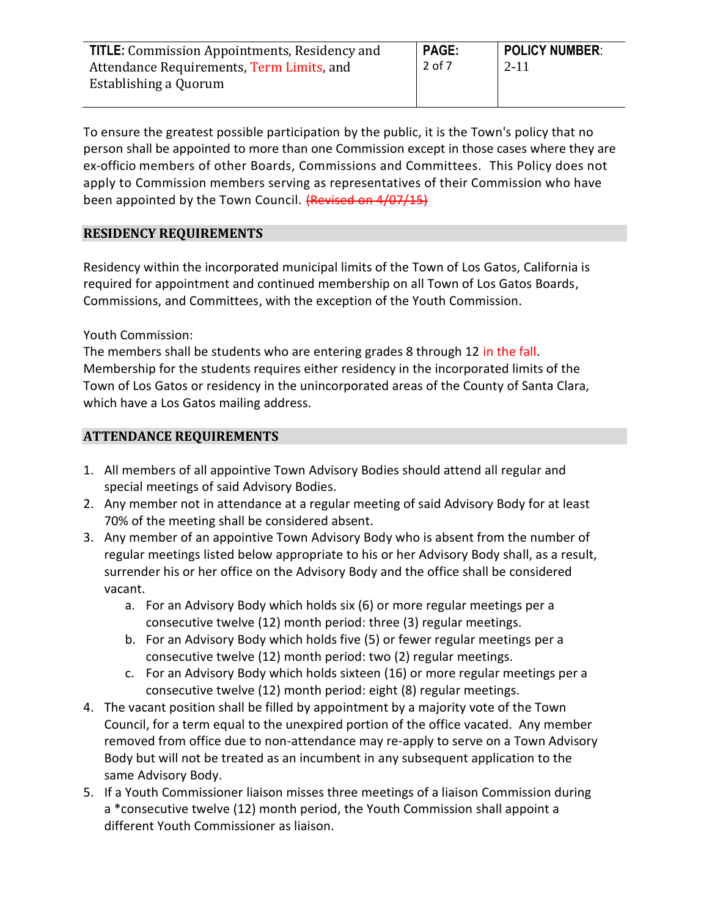| <b>TITLE:</b> Commission Appointments, Residency and | <b>PAGE:</b> | <b>POLICY NUMBER:</b> |
|------------------------------------------------------|--------------|-----------------------|
| Attendance Requirements, Term Limits, and            | 2 of 7       | $2 - 11$              |
| Establishing a Quorum                                |              |                       |
|                                                      |              |                       |

To ensure the greatest possible participation by the public, it is the Town's policy that no person shall be appointed to more than one Commission except in those cases where they are ex-officio members of other Boards, Commissions and Committees. This Policy does not apply to Commission members serving as representatives of their Commission who have been appointed by the Town Council. (Revised on 4/07/15)

# **RESIDENCY REQUIREMENTS**

Residency within the incorporated municipal limits of the Town of Los Gatos, California is required for appointment and continued membership on all Town of Los Gatos Boards, Commissions, and Committees, with the exception of the Youth Commission.

Youth Commission:

The members shall be students who are entering grades 8 through 12 in the fall. Membership for the students requires either residency in the incorporated limits of the Town of Los Gatos or residency in the unincorporated areas of the County of Santa Clara, which have a Los Gatos mailing address.

# **ATTENDANCE REQUIREMENTS**

- 1. All members of all appointive Town Advisory Bodies should attend all regular and special meetings of said Advisory Bodies.
- 2. Any member not in attendance at a regular meeting of said Advisory Body for at least 70% of the meeting shall be considered absent.
- 3. Any member of an appointive Town Advisory Body who is absent from the number of regular meetings listed below appropriate to his or her Advisory Body shall, as a result, surrender his or her office on the Advisory Body and the office shall be considered vacant.
	- a. For an Advisory Body which holds six (6) or more regular meetings per a consecutive twelve (12) month period: three (3) regular meetings.
	- b. For an Advisory Body which holds five (5) or fewer regular meetings per a consecutive twelve (12) month period: two (2) regular meetings.
	- c. For an Advisory Body which holds sixteen (16) or more regular meetings per a consecutive twelve (12) month period: eight (8) regular meetings.
- 4. The vacant position shall be filled by appointment by a majority vote of the Town Council, for a term equal to the unexpired portion of the office vacated. Any member removed from office due to non-attendance may re-apply to serve on a Town Advisory Body but will not be treated as an incumbent in any subsequent application to the same Advisory Body.
- 5. If a Youth Commissioner liaison misses three meetings of a liaison Commission during a \*consecutive twelve (12) month period, the Youth Commission shall appoint a different Youth Commissioner as liaison.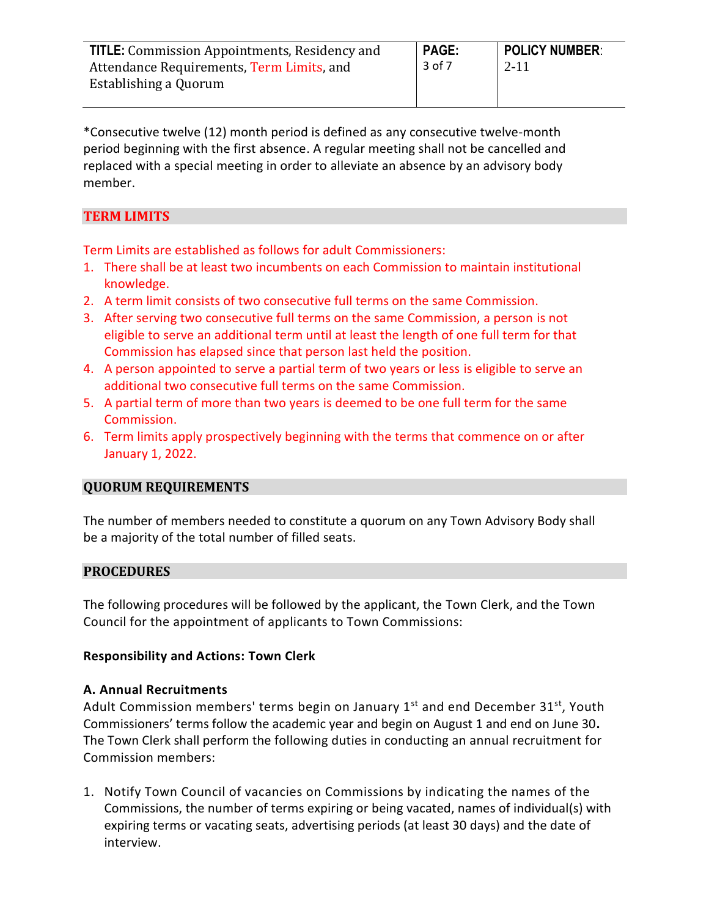| <b>TITLE:</b> Commission Appointments, Residency and | <b>PAGE:</b> | <b>POLICY NUMBER:</b> |
|------------------------------------------------------|--------------|-----------------------|
| Attendance Requirements, Term Limits, and            | 3 of 7       | 2-11                  |
| Establishing a Quorum                                |              |                       |

\*Consecutive twelve (12) month period is defined as any consecutive twelve-month period beginning with the first absence. A regular meeting shall not be cancelled and replaced with a special meeting in order to alleviate an absence by an advisory body member.

## **TERM LIMITS**

Term Limits are established as follows for adult Commissioners:

- 1. There shall be at least two incumbents on each Commission to maintain institutional knowledge.
- 2. A term limit consists of two consecutive full terms on the same Commission.
- 3. After serving two consecutive full terms on the same Commission, a person is not eligible to serve an additional term until at least the length of one full term for that Commission has elapsed since that person last held the position.
- 4. A person appointed to serve a partial term of two years or less is eligible to serve an additional two consecutive full terms on the same Commission.
- 5. A partial term of more than two years is deemed to be one full term for the same Commission.
- 6. Term limits apply prospectively beginning with the terms that commence on or after January 1, 2022.

### **QUORUM REQUIREMENTS**

The number of members needed to constitute a quorum on any Town Advisory Body shall be a majority of the total number of filled seats.

### **PROCEDURES**

The following procedures will be followed by the applicant, the Town Clerk, and the Town Council for the appointment of applicants to Town Commissions:

#### **Responsibility and Actions: Town Clerk**

### **A. Annual Recruitments**

Adult Commission members' terms begin on January  $1<sup>st</sup>$  and end December 31 $<sup>st</sup>$ , Youth</sup> Commissioners' terms follow the academic year and begin on August 1 and end on June 30**.**  The Town Clerk shall perform the following duties in conducting an annual recruitment for Commission members:

1. Notify Town Council of vacancies on Commissions by indicating the names of the Commissions, the number of terms expiring or being vacated, names of individual(s) with expiring terms or vacating seats, advertising periods (at least 30 days) and the date of interview.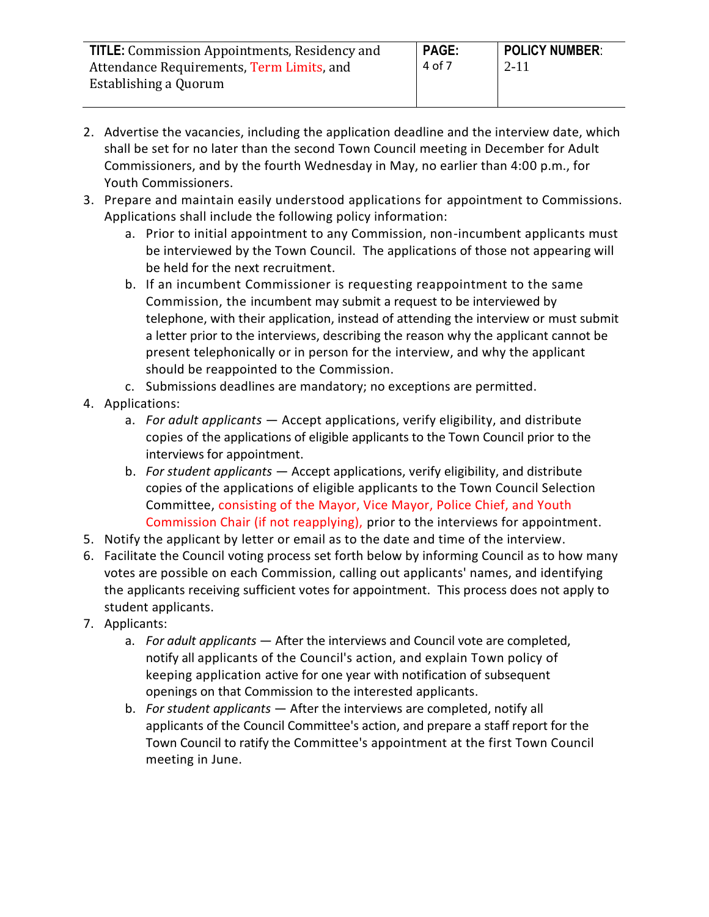| <b>TITLE:</b> Commission Appointments, Residency and | <b>PAGE:</b> | <b>POLICY NUMBER:</b> |
|------------------------------------------------------|--------------|-----------------------|
| Attendance Requirements, Term Limits, and            | 4 of 7       | 2-11                  |
| Establishing a Quorum                                |              |                       |

- 2. Advertise the vacancies, including the application deadline and the interview date, which shall be set for no later than the second Town Council meeting in December for Adult Commissioners, and by the fourth Wednesday in May, no earlier than 4:00 p.m., for Youth Commissioners.
- 3. Prepare and maintain easily understood applications for appointment to Commissions. Applications shall include the following policy information:
	- a. Prior to initial appointment to any Commission, non-incumbent applicants must be interviewed by the Town Council. The applications of those not appearing will be held for the next recruitment.
	- b. If an incumbent Commissioner is requesting reappointment to the same Commission, the incumbent may submit a request to be interviewed by telephone, with their application, instead of attending the interview or must submit a letter prior to the interviews, describing the reason why the applicant cannot be present telephonically or in person for the interview, and why the applicant should be reappointed to the Commission.
	- c. Submissions deadlines are mandatory; no exceptions are permitted.
- 4. Applications:
	- a. *For adult applicants* Accept applications, verify eligibility, and distribute copies of the applications of eligible applicants to the Town Council prior to the interviews for appointment.
	- b. *For student applicants* Accept applications, verify eligibility, and distribute copies of the applications of eligible applicants to the Town Council Selection Committee, consisting of the Mayor, Vice Mayor, Police Chief, and Youth Commission Chair (if not reapplying), prior to the interviews for appointment.
- 5. Notify the applicant by letter or email as to the date and time of the interview.
- 6. Facilitate the Council voting process set forth below by informing Council as to how many votes are possible on each Commission, calling out applicants' names, and identifying the applicants receiving sufficient votes for appointment. This process does not apply to student applicants.
- 7. Applicants:
	- a. *For adult applicants* After the interviews and Council vote are completed, notify all applicants of the Council's action, and explain Town policy of keeping application active for one year with notification of subsequent openings on that Commission to the interested applicants.
	- b. *For student applicants* After the interviews are completed, notify all applicants of the Council Committee's action, and prepare a staff report for the Town Council to ratify the Committee's appointment at the first Town Council meeting in June.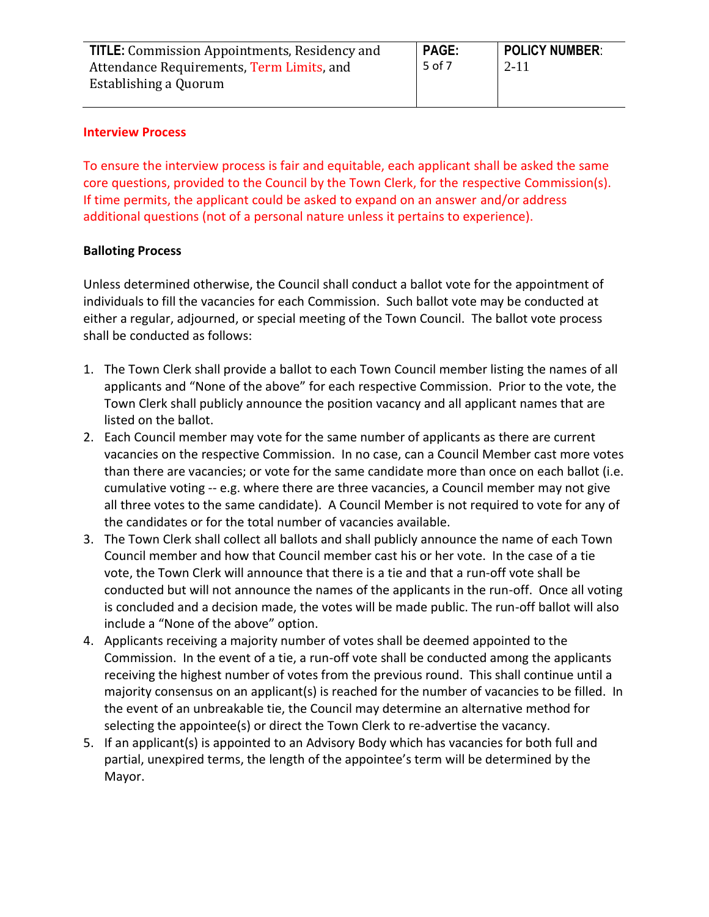| <b>TITLE:</b> Commission Appointments, Residency and | <b>PAGE:</b> | <b>POLICY NUMBER:</b> |
|------------------------------------------------------|--------------|-----------------------|
| Attendance Requirements, Term Limits, and            | 5 of 7       | $2 - 11$              |
| Establishing a Quorum                                |              |                       |

#### **Interview Process**

To ensure the interview process is fair and equitable, each applicant shall be asked the same core questions, provided to the Council by the Town Clerk, for the respective Commission(s). If time permits, the applicant could be asked to expand on an answer and/or address additional questions (not of a personal nature unless it pertains to experience).

### **Balloting Process**

Unless determined otherwise, the Council shall conduct a ballot vote for the appointment of individuals to fill the vacancies for each Commission. Such ballot vote may be conducted at either a regular, adjourned, or special meeting of the Town Council. The ballot vote process shall be conducted as follows:

- 1. The Town Clerk shall provide a ballot to each Town Council member listing the names of all applicants and "None of the above" for each respective Commission. Prior to the vote, the Town Clerk shall publicly announce the position vacancy and all applicant names that are listed on the ballot.
- 2. Each Council member may vote for the same number of applicants as there are current vacancies on the respective Commission. In no case, can a Council Member cast more votes than there are vacancies; or vote for the same candidate more than once on each ballot (i.e. cumulative voting -- e.g. where there are three vacancies, a Council member may not give all three votes to the same candidate). A Council Member is not required to vote for any of the candidates or for the total number of vacancies available.
- 3. The Town Clerk shall collect all ballots and shall publicly announce the name of each Town Council member and how that Council member cast his or her vote. In the case of a tie vote, the Town Clerk will announce that there is a tie and that a run-off vote shall be conducted but will not announce the names of the applicants in the run-off. Once all voting is concluded and a decision made, the votes will be made public. The run-off ballot will also include a "None of the above" option.
- 4. Applicants receiving a majority number of votes shall be deemed appointed to the Commission. In the event of a tie, a run-off vote shall be conducted among the applicants receiving the highest number of votes from the previous round. This shall continue until a majority consensus on an applicant(s) is reached for the number of vacancies to be filled. In the event of an unbreakable tie, the Council may determine an alternative method for selecting the appointee(s) or direct the Town Clerk to re-advertise the vacancy.
- 5. If an applicant(s) is appointed to an Advisory Body which has vacancies for both full and partial, unexpired terms, the length of the appointee's term will be determined by the Mayor.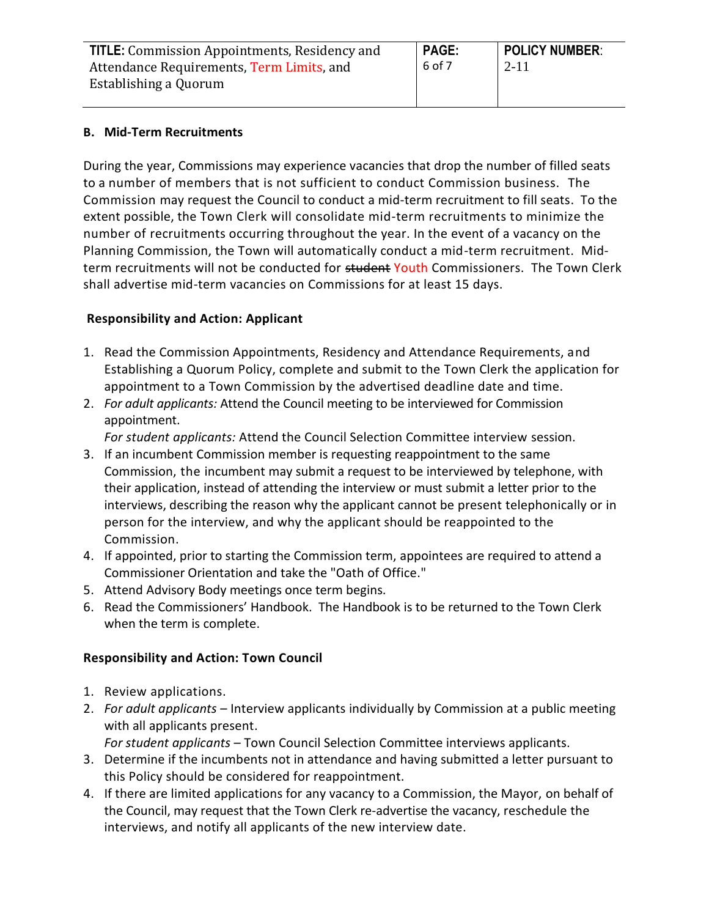| <b>TITLE:</b> Commission Appointments, Residency and | <b>PAGE:</b> | <b>POLICY NUMBER:</b> |
|------------------------------------------------------|--------------|-----------------------|
| Attendance Requirements, Term Limits, and            | 6 of 7       | $2 - 11$              |
| Establishing a Quorum                                |              |                       |

### **B. Mid-Term Recruitments**

During the year, Commissions may experience vacancies that drop the number of filled seats to a number of members that is not sufficient to conduct Commission business. The Commission may request the Council to conduct a mid-term recruitment to fill seats. To the extent possible, the Town Clerk will consolidate mid-term recruitments to minimize the number of recruitments occurring throughout the year. In the event of a vacancy on the Planning Commission, the Town will automatically conduct a mid-term recruitment. Midterm recruitments will not be conducted for student Youth Commissioners. The Town Clerk shall advertise mid-term vacancies on Commissions for at least 15 days.

# **Responsibility and Action: Applicant**

- 1. Read the Commission Appointments, Residency and Attendance Requirements, and Establishing a Quorum Policy, complete and submit to the Town Clerk the application for appointment to a Town Commission by the advertised deadline date and time.
- 2. *For adult applicants:* Attend the Council meeting to be interviewed for Commission appointment.

*For student applicants:* Attend the Council Selection Committee interview session.

- 3. If an incumbent Commission member is requesting reappointment to the same Commission, the incumbent may submit a request to be interviewed by telephone, with their application, instead of attending the interview or must submit a letter prior to the interviews, describing the reason why the applicant cannot be present telephonically or in person for the interview, and why the applicant should be reappointed to the Commission.
- 4. If appointed, prior to starting the Commission term, appointees are required to attend a Commissioner Orientation and take the "Oath of Office."
- 5. Attend Advisory Body meetings once term begins.
- 6. Read the Commissioners' Handbook. The Handbook is to be returned to the Town Clerk when the term is complete.

# **Responsibility and Action: Town Council**

- 1. Review applications.
- 2. *For adult applicants* Interview applicants individually by Commission at a public meeting with all applicants present.

*For student applicants* – Town Council Selection Committee interviews applicants.

- 3. Determine if the incumbents not in attendance and having submitted a letter pursuant to this Policy should be considered for reappointment.
- 4. If there are limited applications for any vacancy to a Commission, the Mayor, on behalf of the Council, may request that the Town Clerk re-advertise the vacancy, reschedule the interviews, and notify all applicants of the new interview date.